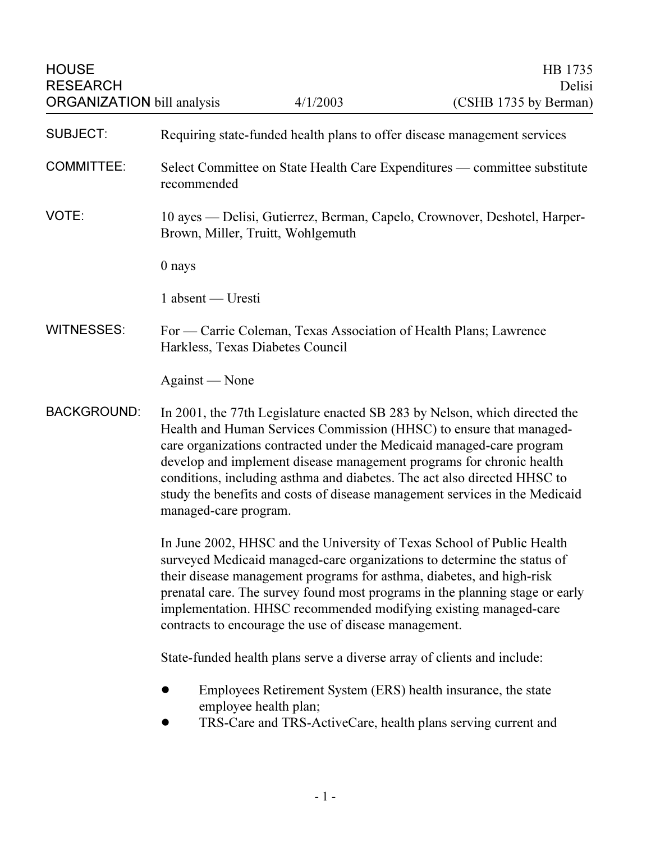HOUSE HIS 1735 ORGANIZATION bill analysis

| <b>SUBJECT:</b>    | Requiring state-funded health plans to offer disease management services                                                                                                                                                                                                                                                                                                                                                                                                               |
|--------------------|----------------------------------------------------------------------------------------------------------------------------------------------------------------------------------------------------------------------------------------------------------------------------------------------------------------------------------------------------------------------------------------------------------------------------------------------------------------------------------------|
| <b>COMMITTEE:</b>  | Select Committee on State Health Care Expenditures — committee substitute<br>recommended                                                                                                                                                                                                                                                                                                                                                                                               |
| VOTE:              | 10 ayes — Delisi, Gutierrez, Berman, Capelo, Crownover, Deshotel, Harper-<br>Brown, Miller, Truitt, Wohlgemuth                                                                                                                                                                                                                                                                                                                                                                         |
|                    | 0 nays                                                                                                                                                                                                                                                                                                                                                                                                                                                                                 |
|                    | 1 absent - Uresti                                                                                                                                                                                                                                                                                                                                                                                                                                                                      |
| <b>WITNESSES:</b>  | For — Carrie Coleman, Texas Association of Health Plans; Lawrence<br>Harkless, Texas Diabetes Council                                                                                                                                                                                                                                                                                                                                                                                  |
|                    | Against — None                                                                                                                                                                                                                                                                                                                                                                                                                                                                         |
| <b>BACKGROUND:</b> | In 2001, the 77th Legislature enacted SB 283 by Nelson, which directed the<br>Health and Human Services Commission (HHSC) to ensure that managed-<br>care organizations contracted under the Medicaid managed-care program<br>develop and implement disease management programs for chronic health<br>conditions, including asthma and diabetes. The act also directed HHSC to<br>study the benefits and costs of disease management services in the Medicaid<br>managed-care program. |
|                    | In June 2002, HHSC and the University of Texas School of Public Health<br>surveyed Medicaid managed-care organizations to determine the status of<br>their disease management programs for asthma, diabetes, and high-risk<br>prenatal care. The survey found most programs in the planning stage or early<br>implementation. HHSC recommended modifying existing managed-care<br>contracts to encourage the use of disease management.                                                |
|                    | State-funded health plans serve a diverse array of clients and include:                                                                                                                                                                                                                                                                                                                                                                                                                |
|                    | Employees Retirement System (ERS) health insurance, the state<br>employee health plan;<br>TRS-Care and TRS-ActiveCare, health plans serving current and                                                                                                                                                                                                                                                                                                                                |
|                    |                                                                                                                                                                                                                                                                                                                                                                                                                                                                                        |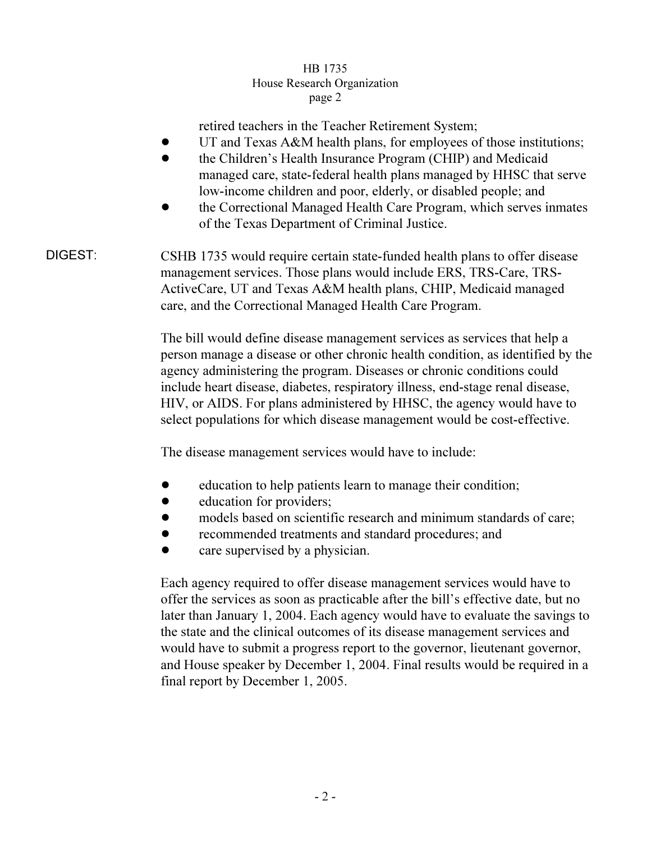## HB 1735 House Research Organization page 2  $r^{2}$

retired teachers in the Teacher Retirement System;

- UT and Texas A&M health plans, for employees of those institutions;
- the Children's Health Insurance Program (CHIP) and Medicaid managed care, state-federal health plans managed by HHSC that serve low-income children and poor, elderly, or disabled people; and
- ! the Correctional Managed Health Care Program, which serves inmates of the Texas Department of Criminal Justice.
- DIGEST: CSHB 1735 would require certain state-funded health plans to offer disease management services. Those plans would include ERS, TRS-Care, TRS-ActiveCare, UT and Texas A&M health plans, CHIP, Medicaid managed care, and the Correctional Managed Health Care Program.

The bill would define disease management services as services that help a person manage a disease or other chronic health condition, as identified by the agency administering the program. Diseases or chronic conditions could include heart disease, diabetes, respiratory illness, end-stage renal disease, HIV, or AIDS. For plans administered by HHSC, the agency would have to select populations for which disease management would be cost-effective.

The disease management services would have to include:

- education to help patients learn to manage their condition;
- $\bullet$  education for providers;
- models based on scientific research and minimum standards of care;
- ! recommended treatments and standard procedures; and
- care supervised by a physician.

Each agency required to offer disease management services would have to offer the services as soon as practicable after the bill's effective date, but no later than January 1, 2004. Each agency would have to evaluate the savings to the state and the clinical outcomes of its disease management services and would have to submit a progress report to the governor, lieutenant governor, and House speaker by December 1, 2004. Final results would be required in a final report by December 1, 2005.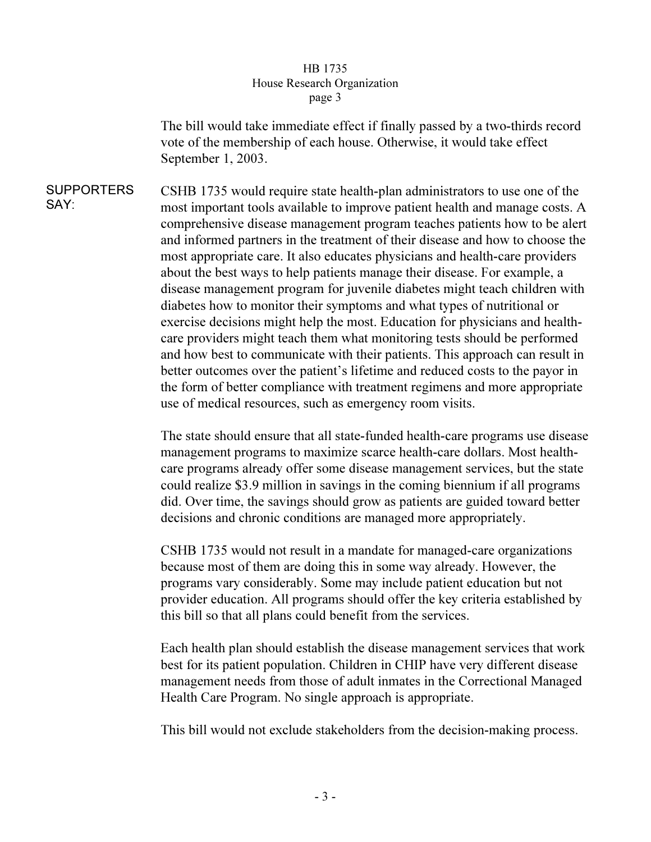## HB 1735 House Research Organization page 3  $\mathbf{r}$   $\mathbf{r}$   $\mathbf{s}$   $\mathbf{r}$   $\mathbf{s}$

The bill would take immediate effect if finally passed by a two-thirds record vote of the membership of each house. Otherwise, it would take effect September 1, 2003.

SUPPORTERS SAY: CSHB 1735 would require state health-plan administrators to use one of the most important tools available to improve patient health and manage costs. A comprehensive disease management program teaches patients how to be alert and informed partners in the treatment of their disease and how to choose the most appropriate care. It also educates physicians and health-care providers about the best ways to help patients manage their disease. For example, a disease management program for juvenile diabetes might teach children with diabetes how to monitor their symptoms and what types of nutritional or exercise decisions might help the most. Education for physicians and healthcare providers might teach them what monitoring tests should be performed and how best to communicate with their patients. This approach can result in better outcomes over the patient's lifetime and reduced costs to the payor in the form of better compliance with treatment regimens and more appropriate use of medical resources, such as emergency room visits.

> The state should ensure that all state-funded health-care programs use disease management programs to maximize scarce health-care dollars. Most healthcare programs already offer some disease management services, but the state could realize \$3.9 million in savings in the coming biennium if all programs did. Over time, the savings should grow as patients are guided toward better decisions and chronic conditions are managed more appropriately.

CSHB 1735 would not result in a mandate for managed-care organizations because most of them are doing this in some way already. However, the programs vary considerably. Some may include patient education but not provider education. All programs should offer the key criteria established by this bill so that all plans could benefit from the services.

Each health plan should establish the disease management services that work best for its patient population. Children in CHIP have very different disease management needs from those of adult inmates in the Correctional Managed Health Care Program. No single approach is appropriate.

This bill would not exclude stakeholders from the decision-making process.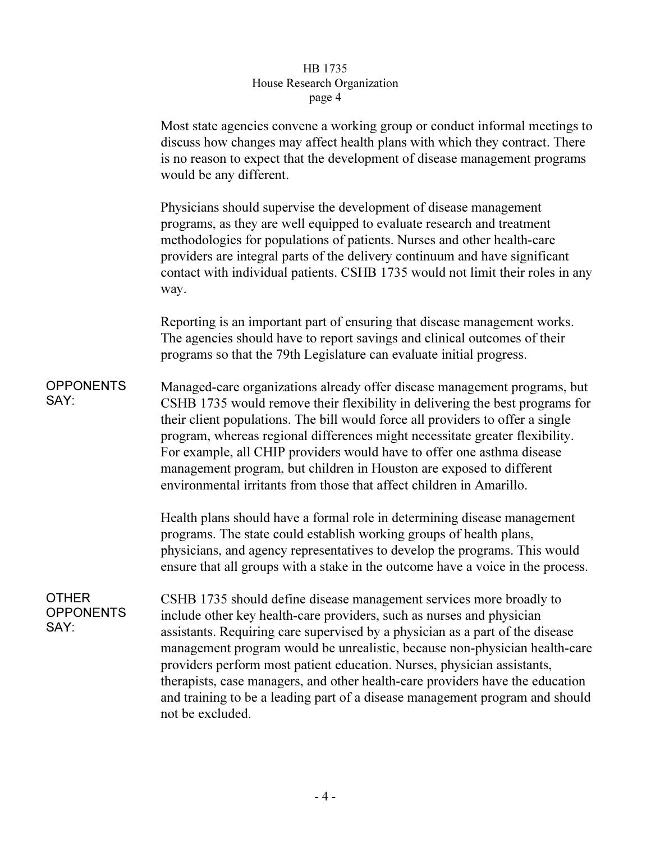## $_{\rm{search}}$  Or  $\frac{1}{\sqrt{1-\frac{1}{n}}\log n}$  $\mathbf{r}^{\mu}$ ge  $\mathbf{r}$

|                                          | Most state agencies convene a working group or conduct informal meetings to<br>discuss how changes may affect health plans with which they contract. There<br>is no reason to expect that the development of disease management programs<br>would be any different.                                                                                                                                                                                                                                                                                                         |
|------------------------------------------|-----------------------------------------------------------------------------------------------------------------------------------------------------------------------------------------------------------------------------------------------------------------------------------------------------------------------------------------------------------------------------------------------------------------------------------------------------------------------------------------------------------------------------------------------------------------------------|
|                                          | Physicians should supervise the development of disease management<br>programs, as they are well equipped to evaluate research and treatment<br>methodologies for populations of patients. Nurses and other health-care<br>providers are integral parts of the delivery continuum and have significant<br>contact with individual patients. CSHB 1735 would not limit their roles in any<br>way.                                                                                                                                                                             |
|                                          | Reporting is an important part of ensuring that disease management works.<br>The agencies should have to report savings and clinical outcomes of their<br>programs so that the 79th Legislature can evaluate initial progress.                                                                                                                                                                                                                                                                                                                                              |
| <b>OPPONENTS</b><br>SAY:                 | Managed-care organizations already offer disease management programs, but<br>CSHB 1735 would remove their flexibility in delivering the best programs for<br>their client populations. The bill would force all providers to offer a single<br>program, whereas regional differences might necessitate greater flexibility.<br>For example, all CHIP providers would have to offer one asthma disease<br>management program, but children in Houston are exposed to different<br>environmental irritants from those that affect children in Amarillo.                       |
|                                          | Health plans should have a formal role in determining disease management<br>programs. The state could establish working groups of health plans,<br>physicians, and agency representatives to develop the programs. This would<br>ensure that all groups with a stake in the outcome have a voice in the process.                                                                                                                                                                                                                                                            |
| <b>OTHER</b><br><b>OPPONENTS</b><br>SAY: | CSHB 1735 should define disease management services more broadly to<br>include other key health-care providers, such as nurses and physician<br>assistants. Requiring care supervised by a physician as a part of the disease<br>management program would be unrealistic, because non-physician health-care<br>providers perform most patient education. Nurses, physician assistants,<br>therapists, case managers, and other health-care providers have the education<br>and training to be a leading part of a disease management program and should<br>not be excluded. |